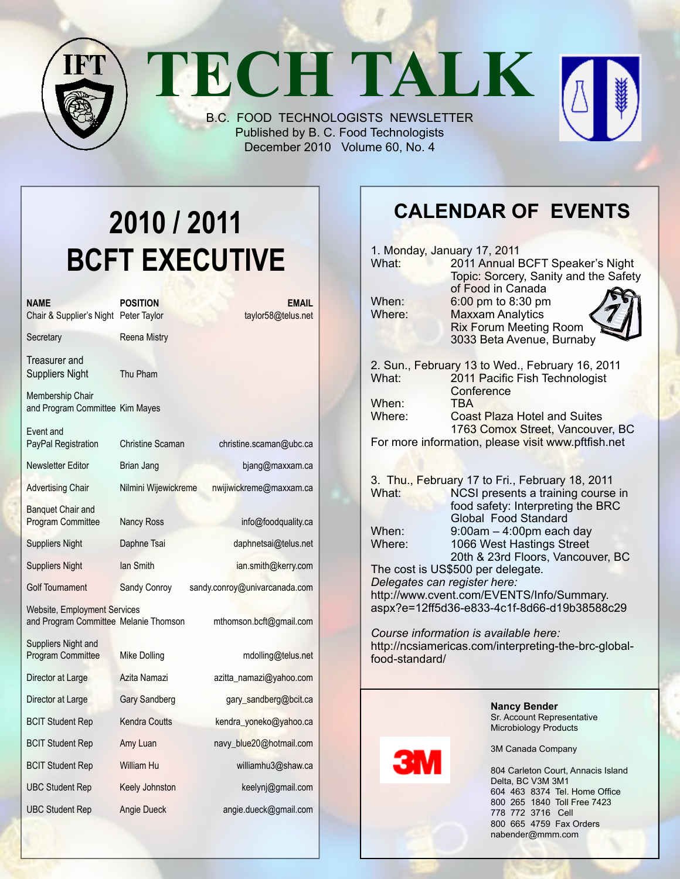**TECH TALK**

B.C. FOOD TECHNOLOGISTS NEWSLETTER Published by B. C. Food Technologists December 2010 Volume 60, No. 4

# **2010 / 2011 BCFT EXECUTIVE**

| NAME<br>Chair & Supplier's Night Peter Taylor                                | <b>POSITION</b>      | EMAIL<br>taylor58@telus.net   |
|------------------------------------------------------------------------------|----------------------|-------------------------------|
| Secretary                                                                    | <b>Reena Mistry</b>  |                               |
| Treasurer and<br><b>Suppliers Night</b>                                      | Thu Pham             |                               |
| Membership Chair<br>and Program Committee Kim Mayes                          |                      |                               |
| Event and<br>PayPal Registration                                             | Christine Scaman     | christine.scaman@ubc.ca       |
| <b>Newsletter Editor</b>                                                     | Brian Jang           | bjang@maxxam.ca               |
| <b>Advertising Chair</b>                                                     | Nilmini Wijewickreme | nwijiwickreme@maxxam.ca       |
| <b>Banquet Chair and</b><br><b>Program Committee</b>                         | <b>Nancy Ross</b>    | info@foodquality.ca           |
| <b>Suppliers Night</b>                                                       | Daphne Tsai          | daphnetsai@telus.net          |
| <b>Suppliers Night</b>                                                       | lan Smith            | ian.smith@kerry.com           |
| <b>Golf Tournament</b>                                                       | Sandy Conroy         | sandy.conroy@univarcanada.com |
| <b>Website, Employment Services</b><br>and Program Committee Melanie Thomson |                      | mthomson.bcft@gmail.com       |
| Suppliers Night and<br><b>Program Committee</b>                              | Mike Dolling         | mdolling@telus.net            |
| Director at Large                                                            | Azita Namazi         | azitta_namazi@yahoo.com       |
| Director at Large                                                            | Gary Sandberg        | gary_sandberg@bcit.ca         |
| <b>BCIT Student Rep</b>                                                      | <b>Kendra Coutts</b> | kendra_yoneko@yahoo.ca        |
| <b>BCIT Student Rep</b>                                                      | Amy Luan             | navy_blue20@hotmail.com       |
| <b>BCIT Student Rep</b>                                                      | William Hu           | williamhu3@shaw.ca            |
| <b>UBC Student Rep</b>                                                       | Keely Johnston       | keelynj@gmail.com             |
| <b>UBC Student Rep</b>                                                       | Angie Dueck          | angie.dueck@gmail.com         |

### **Calendar Of Events**

| What:                                                                                                           | 1. Monday, January 17, 2011<br>2011 Annual BCFT Speaker's Night<br>Topic: Sorcery, Sanity and the Safety                         |  |  |  |  |  |
|-----------------------------------------------------------------------------------------------------------------|----------------------------------------------------------------------------------------------------------------------------------|--|--|--|--|--|
| When:<br>Where:                                                                                                 | of Food in Canada<br>6:00 pm to 8:30 pm<br><b>Maxxam Analytics</b><br><b>Rix Forum Meeting Room</b><br>3033 Beta Avenue, Burnaby |  |  |  |  |  |
| What:                                                                                                           | 2. Sun., February 13 to Wed., February 16, 2011<br>2011 Pacific Fish Technologist<br>Conference                                  |  |  |  |  |  |
| When:<br>Where:                                                                                                 | <b>TBA</b><br><b>Coast Plaza Hotel and Suites</b><br>1763 Comox Street, Vancouver, BC                                            |  |  |  |  |  |
|                                                                                                                 | For more information, please visit www.pftfish.net                                                                               |  |  |  |  |  |
|                                                                                                                 | 3. Thu., February 17 to Fri., February 18, 2011                                                                                  |  |  |  |  |  |
| What:                                                                                                           | NCSI presents a training course in<br>food safety: Interpreting the BRC<br>Global Food Standard                                  |  |  |  |  |  |
| When:<br>Where:                                                                                                 | $9:00$ am $-4:00$ pm each day<br>1066 West Hastings Street<br>20th & 23rd Floors, Vancouver, BC                                  |  |  |  |  |  |
| The cost is US\$500 per delegate.<br>Delegates can register here:                                               |                                                                                                                                  |  |  |  |  |  |
| http://www.cvent.com/EVENTS/Info/Summary.<br>aspx?e=12ff5d36-e833-4c1f-8d66-d19b38588c29                        |                                                                                                                                  |  |  |  |  |  |
| Course information is available here:<br>http://ncsiamericas.com/interpreting-the-brc-global-<br>food-standard/ |                                                                                                                                  |  |  |  |  |  |
|                                                                                                                 | <b>Nancy Bender</b><br>Sr. Account Representative<br>Microbiology Products                                                       |  |  |  |  |  |
|                                                                                                                 | 3M Canada Company                                                                                                                |  |  |  |  |  |
|                                                                                                                 | 004 Carloton Court, Annania Joland                                                                                               |  |  |  |  |  |

804 Carleton Court, Annacis Island Delta, BC V3M 3M1 604 463 8374 Tel. Home Office 800 265 1840 Toll Free 7423 778 772 3716 Cell 800 665 4759 Fax Orders nabender@mmm.com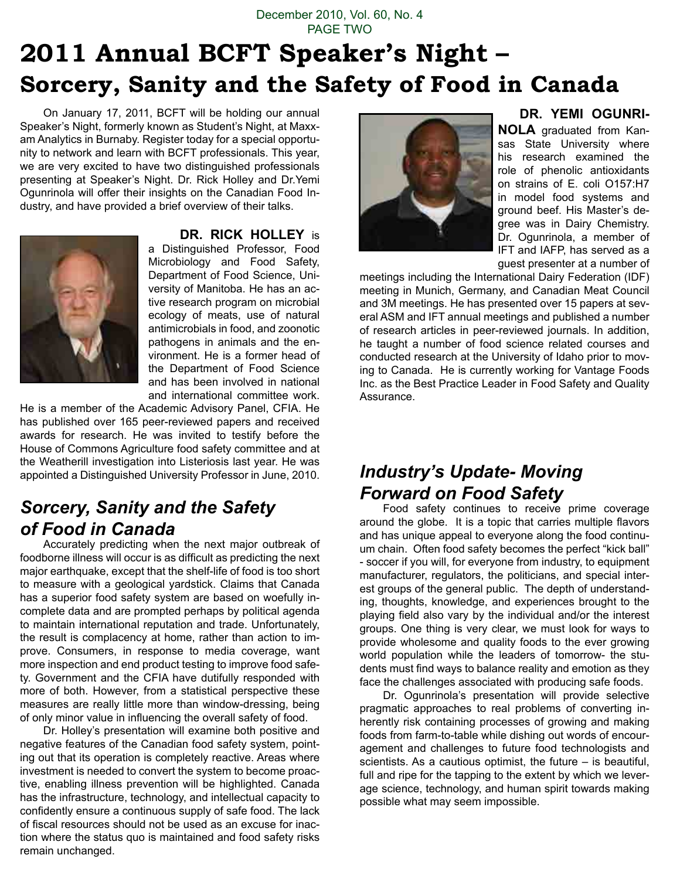#### December 2010, Vol. 60, No. 4 PAGE TWO

# **2011 Annual BCFT Speaker's Night – Sorcery, Sanity and the Safety of Food in Canada**

On January 17, 2011, BCFT will be holding our annual Speaker's Night, formerly known as Student's Night, at Maxxam Analytics in Burnaby. Register today for a special opportunity to network and learn with BCFT professionals. This year, we are very excited to have two distinguished professionals presenting at Speaker's Night. Dr. Rick Holley and Dr.Yemi Ogunrinola will offer their insights on the Canadian Food Industry, and have provided a brief overview of their talks.



#### **Dr. Rick Holley** is

a Distinguished Professor, Food Microbiology and Food Safety, Department of Food Science, University of Manitoba. He has an active research program on microbial ecology of meats, use of natural antimicrobials in food, and zoonotic pathogens in animals and the environment. He is a former head of the Department of Food Science and has been involved in national and international committee work.

He is a member of the Academic Advisory Panel, CFIA. He has published over 165 peer-reviewed papers and received awards for research. He was invited to testify before the House of Commons Agriculture food safety committee and at the Weatherill investigation into Listeriosis last year. He was appointed a Distinguished University Professor in June, 2010.

#### *Sorcery, Sanity and the Safety of Food in Canada*

Accurately predicting when the next major outbreak of foodborne illness will occur is as difficult as predicting the next major earthquake, except that the shelf-life of food is too short to measure with a geological yardstick. Claims that Canada has a superior food safety system are based on woefully incomplete data and are prompted perhaps by political agenda to maintain international reputation and trade. Unfortunately, the result is complacency at home, rather than action to improve. Consumers, in response to media coverage, want more inspection and end product testing to improve food safety. Government and the CFIA have dutifully responded with more of both. However, from a statistical perspective these measures are really little more than window-dressing, being of only minor value in influencing the overall safety of food.

Dr. Holley's presentation will examine both positive and negative features of the Canadian food safety system, pointing out that its operation is completely reactive. Areas where investment is needed to convert the system to become proactive, enabling illness prevention will be highlighted. Canada has the infrastructure, technology, and intellectual capacity to confidently ensure a continuous supply of safe food. The lack of fiscal resources should not be used as an excuse for inaction where the status quo is maintained and food safety risks remain unchanged.



#### **Dr. Yemi Ogunri-**

**NOLA** graduated from Kansas State University where his research examined the role of phenolic antioxidants on strains of E. coli O157:H7 in model food systems and ground beef. His Master's degree was in Dairy Chemistry. Dr. Ogunrinola, a member of IFT and IAFP, has served as a guest presenter at a number of

meetings including the International Dairy Federation (IDF) meeting in Munich, Germany, and Canadian Meat Council and 3M meetings. He has presented over 15 papers at several ASM and IFT annual meetings and published a number of research articles in peer-reviewed journals. In addition, he taught a number of food science related courses and conducted research at the University of Idaho prior to moving to Canada. He is currently working for Vantage Foods Inc. as the Best Practice Leader in Food Safety and Quality Assurance.

### *Industry's Update- Moving Forward on Food Safety*

Food safety continues to receive prime coverage around the globe. It is a topic that carries multiple flavors and has unique appeal to everyone along the food continuum chain. Often food safety becomes the perfect "kick ball" - soccer if you will, for everyone from industry, to equipment manufacturer, regulators, the politicians, and special interest groups of the general public. The depth of understanding, thoughts, knowledge, and experiences brought to the playing field also vary by the individual and/or the interest groups. One thing is very clear, we must look for ways to provide wholesome and quality foods to the ever growing world population while the leaders of tomorrow- the students must find ways to balance reality and emotion as they face the challenges associated with producing safe foods.

Dr. Ogunrinola's presentation will provide selective pragmatic approaches to real problems of converting inherently risk containing processes of growing and making foods from farm-to-table while dishing out words of encouragement and challenges to future food technologists and scientists. As a cautious optimist, the future – is beautiful, full and ripe for the tapping to the extent by which we leverage science, technology, and human spirit towards making possible what may seem impossible.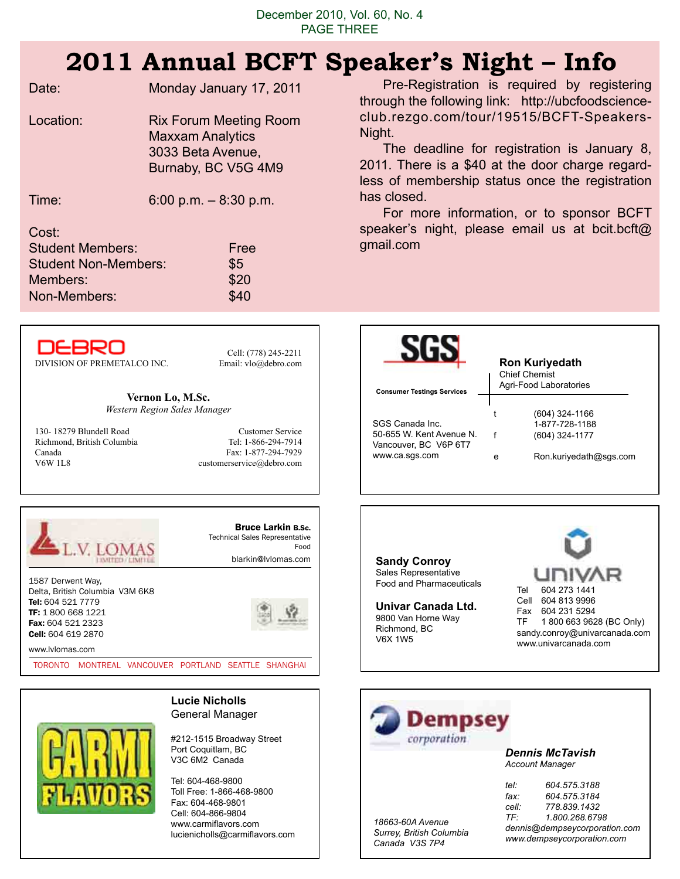## **2011 Annual BCFT Speaker's Night – Info**

|                                        | A AAAAA WWA                                          | PPCAILLE D'ILLETTE                                |                                                                                                   |
|----------------------------------------|------------------------------------------------------|---------------------------------------------------|---------------------------------------------------------------------------------------------------|
| Date:                                  | Monday January 17, 2011                              |                                                   | Pre-Registration is required by registering<br>through the following link: http://ubcfoodscience- |
| Location:                              | <b>Rix Forum Meeting Room</b>                        |                                                   | club.rezgo.com/tour/19515/BCFT-Speakers-                                                          |
|                                        | <b>Maxxam Analytics</b>                              | Night.                                            |                                                                                                   |
|                                        | 3033 Beta Avenue,                                    |                                                   | The deadline for registration is January 8,                                                       |
|                                        | Burnaby, BC V5G 4M9                                  |                                                   | 2011. There is a \$40 at the door charge regard-                                                  |
|                                        |                                                      |                                                   | less of membership status once the registration                                                   |
|                                        |                                                      | has closed.                                       |                                                                                                   |
| Time:                                  | 6:00 p.m. $-$ 8:30 p.m.                              |                                                   | For more information, or to sponsor BCFT                                                          |
|                                        |                                                      |                                                   | speaker's night, please email us at boit.boft@                                                    |
| Cost:                                  |                                                      | gmail.com                                         |                                                                                                   |
| <b>Student Members:</b>                | Free                                                 |                                                   |                                                                                                   |
| <b>Student Non-Members:</b>            | \$5                                                  |                                                   |                                                                                                   |
| Members:                               | \$20                                                 |                                                   |                                                                                                   |
| Non-Members:                           | \$40                                                 |                                                   |                                                                                                   |
|                                        |                                                      |                                                   |                                                                                                   |
|                                        |                                                      |                                                   |                                                                                                   |
| DEBRO                                  | Cell: (778) 245-2211                                 |                                                   |                                                                                                   |
| DIVISION OF PREMETALCO INC.            | Email: vlo@debro.com                                 |                                                   | <b>Ron Kuriyedath</b>                                                                             |
|                                        |                                                      |                                                   | <b>Chief Chemist</b><br>Agri-Food Laboratories                                                    |
|                                        | Vernon Lo, M.Sc.                                     | <b>Consumer Testings Services</b>                 |                                                                                                   |
|                                        | Western Region Sales Manager                         |                                                   | $(604)$ 324-1166<br>t                                                                             |
| 130-18279 Blundell Road                | <b>Customer Service</b>                              | SGS Canada Inc.                                   | 1-877-728-1188                                                                                    |
| Richmond, British Columbia             | Tel: 1-866-294-7914                                  | 50-655 W. Kent Avenue N.<br>Vancouver, BC V6P 6T7 | f<br>(604) 324-1177                                                                               |
| Canada<br><b>V6W 1L8</b>               | Fax: 1-877-294-7929<br>customerservice@debro.com     | www.ca.sgs.com                                    | Ron.kuriyedath@sgs.com<br>e                                                                       |
|                                        |                                                      |                                                   |                                                                                                   |
|                                        |                                                      |                                                   |                                                                                                   |
|                                        |                                                      |                                                   |                                                                                                   |
|                                        | <b>Bruce Larkin B.Sc.</b>                            |                                                   |                                                                                                   |
|                                        | <b>Technical Sales Representative</b><br>Food        |                                                   |                                                                                                   |
|                                        | blarkin@lvlomas.com                                  | <b>Sandy Conroy</b>                               |                                                                                                   |
| 1587 Derwent Way,                      |                                                      | Sales Representative                              | UNIVAR                                                                                            |
| Delta, British Columbia V3M 6K8        |                                                      | Food and Pharmaceuticals                          | 604 273 1441<br>Tel                                                                               |
| Tel: 604 521 7779                      |                                                      | Univar Canada Ltd.                                | Cell 604 813 9996<br>Fax 604 231 5294                                                             |
| TF: 1800 668 1221<br>Fax: 604 521 2323 |                                                      | 9800 Van Horne Way                                | 1800 663 9628 (BC Only)<br>TF                                                                     |
| Cell: 604 619 2870                     |                                                      | Richmond, BC<br><b>V6X 1W5</b>                    | sandy.conroy@univarcanada.com                                                                     |
| www.lvlomas.com                        |                                                      |                                                   | www.univarcanada.com                                                                              |
|                                        | TORONTO MONTREAL VANCOUVER PORTLAND SEATTLE SHANGHAI |                                                   |                                                                                                   |
|                                        |                                                      |                                                   |                                                                                                   |
|                                        | <b>Lucie Nicholls</b>                                |                                                   |                                                                                                   |
|                                        | General Manager                                      | <b>Dempsey</b>                                    |                                                                                                   |
|                                        | #212-1515 Broadway Street                            | corporation                                       |                                                                                                   |
|                                        | Port Coquitlam, BC                                   |                                                   | <b>Dennis McTavish</b>                                                                            |
|                                        | V3C 6M2 Canada                                       |                                                   | <b>Account Manager</b>                                                                            |
|                                        |                                                      |                                                   |                                                                                                   |

*18663-60A Avenue Surrey, British Columbia Canada V3S 7P4*

*tel: 604.575.3188 fax: 604.575.3184 cell: 778.839.1432*

*TF: 1.800.268.6798 dennis@dempseycorporation.com www.dempseycorporation.com*

Tel: 604-468-9800 Toll Free: 1-866-468-9800 Fax: 604-468-9801 Cell: 604-866-9804 www.carmiflavors.com lucienicholls@carmiflavors.com

 $H$ 

n: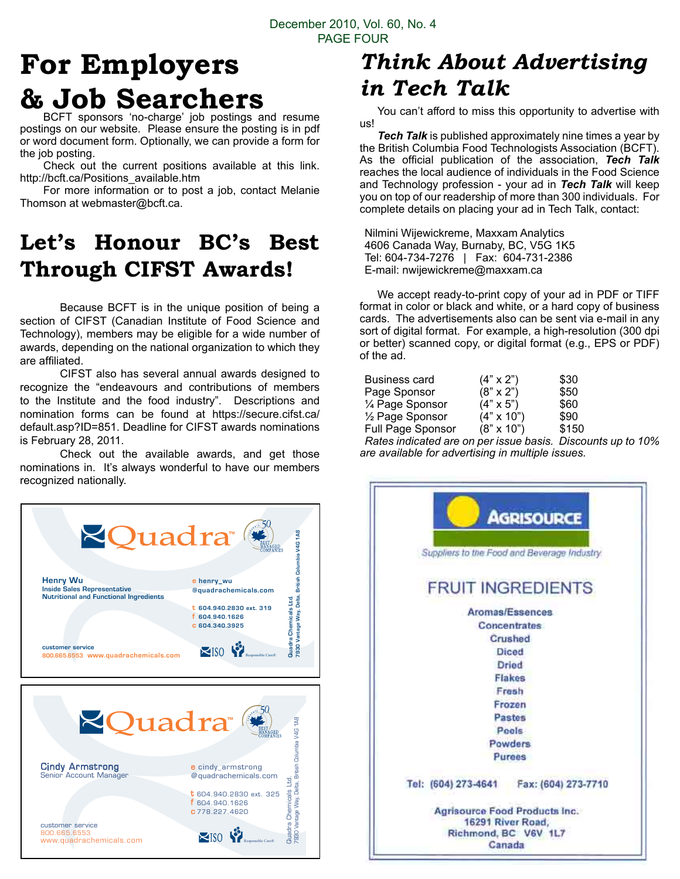# **For Employers & Job Searchers**

BCFT sponsors 'no-charge' job postings and resume postings on our website. Please ensure the posting is in pdf or word document form. Optionally, we can provide a form for the job posting.

Check out the current positions available at this link. http://bcft.ca/Positions\_available.htm

For more information or to post a job, contact Melanie Thomson at webmaster@bcft.ca.

### **Let's Honour BC's Best Through CIFST Awards!**

Because BCFT is in the unique position of being a section of CIFST (Canadian Institute of Food Science and Technology), members may be eligible for a wide number of awards, depending on the national organization to which they are affiliated.

CIFST also has several annual awards designed to recognize the "endeavours and contributions of members to the Institute and the food industry". Descriptions and nomination forms can be found at https://secure.cifst.ca/ default.asp?ID=851. Deadline for CIFST awards nominations is February 28, 2011.

recognized nationally. Check out the available awards, and get those nominations in. It's always wonderful to have our members



### *Think About Advertising in Tech Talk*

You can't afford to miss this opportunity to advertise with us!

*Tech Talk* is published approximately nine times a year by the British Columbia Food Technologists Association (BCFT). As the official publication of the association, *Tech Talk*  reaches the local audience of individuals in the Food Science and Technology profession - your ad in *Tech Talk* will keep you on top of our readership of more than 300 individuals. For complete details on placing your ad in Tech Talk, contact:

Nilmini Wijewickreme, Maxxam Analytics 4606 Canada Way, Burnaby, BC, V5G 1K5 Tel: 604-734-7276 | Fax: 604-731-2386 E-mail: nwijewickreme@maxxam.ca

We accept ready-to-print copy of your ad in PDF or TIFF format in color or black and white, or a hard copy of business cards. The advertisements also can be sent via e-mail in any sort of digital format. For example, a high-resolution (300 dpi or better) scanned copy, or digital format (e.g., EPS or PDF) of the ad.

| Business card     | $(4" \times 2")$  | \$30  |  |
|-------------------|-------------------|-------|--|
| Page Sponsor      | $(8" \times 2")$  | \$50  |  |
| 1⁄4 Page Sponsor  | $(4" \times 5")$  | \$60  |  |
| 1/2 Page Sponsor  | $(4" \times 10")$ | \$90  |  |
| Full Page Sponsor | $(8" \times 10")$ | \$150 |  |
|                   |                   |       |  |

*Rates indicated are on per issue basis. Discounts up to 10% are available for advertising in multiple issues.*